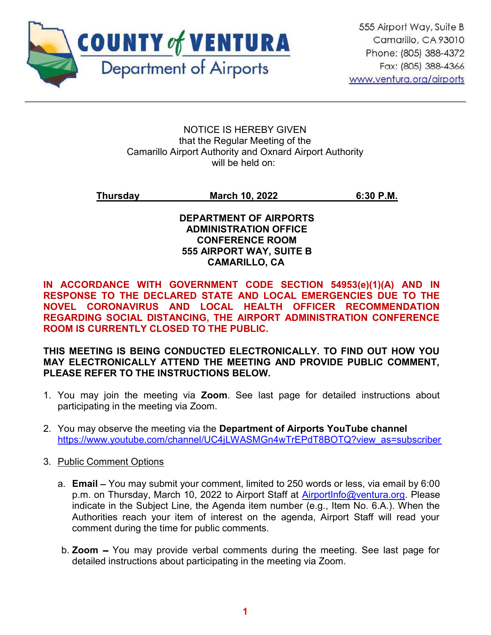

#### NOTICE IS HEREBY GIVEN that the Regular Meeting of the Camarillo Airport Authority and Oxnard Airport Authority will be held on:

### Thursday March 10, 2022 6:30 P.M.

#### DEPARTMENT OF AIRPORTS ADMINISTRATION OFFICE CONFERENCE ROOM 555 AIRPORT WAY, SUITE B CAMARILLO, CA

IN ACCORDANCE WITH GOVERNMENT CODE SECTION 54953(e)(1)(A) AND IN RESPONSE TO THE DECLARED STATE AND LOCAL EMERGENCIES DUE TO THE NOVEL CORONAVIRUS AND LOCAL HEALTH OFFICER RECOMMENDATION REGARDING SOCIAL DISTANCING, THE AIRPORT ADMINISTRATION CONFERENCE ROOM IS CURRENTLY CLOSED TO THE PUBLIC.

#### THIS MEETING IS BEING CONDUCTED ELECTRONICALLY. TO FIND OUT HOW YOU MAY ELECTRONICALLY ATTEND THE MEETING AND PROVIDE PUBLIC COMMENT, PLEASE REFER TO THE INSTRUCTIONS BELOW.

- 1. You may join the meeting via Zoom. See last page for detailed instructions about participating in the meeting via Zoom.
- 2. You may observe the meeting via the Department of Airports YouTube channel https://www.youtube.com/channel/UC4jLWASMGn4wTrEPdT8BOTQ?view\_as=subscriber
- 3. Public Comment Options
	- a. **Email** You may submit your comment, limited to 250 words or less, via email by 6:00 p.m. on Thursday, March 10, 2022 to Airport Staff at AirportInfo@ventura.org. Please indicate in the Subject Line, the Agenda item number (e.g., Item No. 6.A.). When the Authorities reach your item of interest on the agenda, Airport Staff will read your comment during the time for public comments.
	- b. **Zoom**  $-$  You may provide verbal comments during the meeting. See last page for detailed instructions about participating in the meeting via Zoom.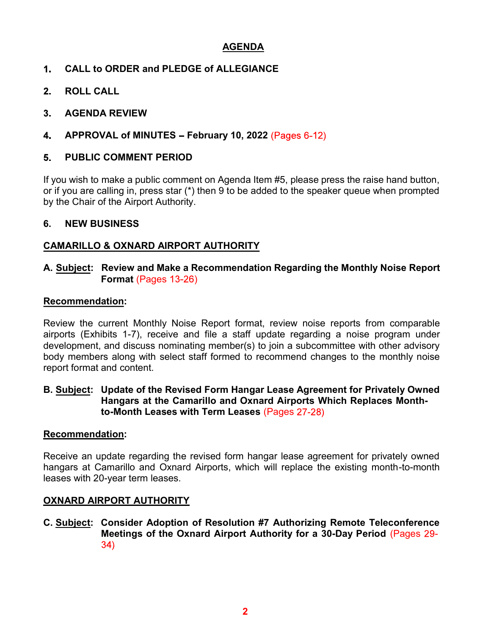### AGENDA

- $1<sub>-</sub>$ CALL to ORDER and PLEDGE of ALLEGIANCE
- $2<sub>1</sub>$ ROLL CALL
- AGENDA REVIEW  $3<sub>-</sub>$
- $\mathbf 4$ APPROVAL of MINUTES - February 10, 2022 (Pages  $6-12$ )

#### PUBLIC COMMENT PERIOD 5.

If you wish to make a public comment on Agenda Item #5, please press the raise hand button, or if you are calling in, press star (\*) then 9 to be added to the speaker queue when prompted by the Chair of the Airport Authority.

### 6. NEW BUSINESS

### CAMARILLO & OXNARD AIRPORT AUTHORITY

### A. Subject: Review and Make a Recommendation Regarding the Monthly Noise Report Format (Pages 13-26)

### Recommendation:

Review the current Monthly Noise Report format, review noise reports from comparable airports (Exhibits 1-7), receive and file a staff update regarding a noise program under development, and discuss nominating member(s) to join a subcommittee with other advisory body members along with select staff formed to recommend changes to the monthly noise report format and content.

#### B. Subject: Update of the Revised Form Hangar Lease Agreement for Privately Owned Hangars at the Camarillo and Oxnard Airports Which Replaces Monthto-Month Leases with Term Leases (Pages 27-28)

### Recommendation:

Receive an update regarding the revised form hangar lease agreement for privately owned hangars at Camarillo and Oxnard Airports, which will replace the existing month-to-month leases with 20-year term leases.

### OXNARD AIRPORT AUTHORITY

C. Subject: Consider Adoption of Resolution #7 Authorizing Remote Teleconference Meetings of the Oxnard Airport Authority for a 30-Day Period (Pages 29- $34)$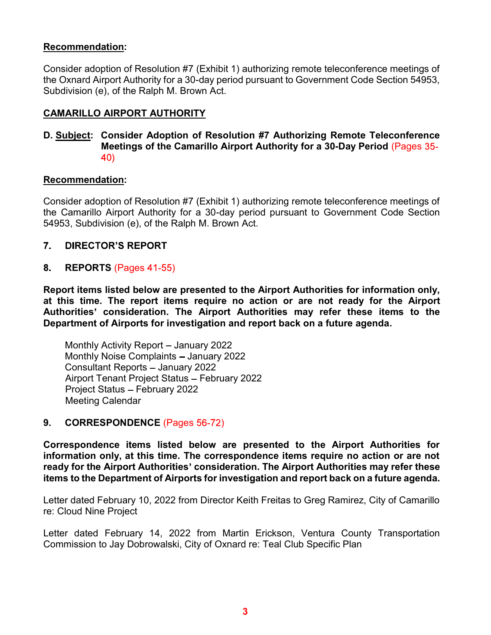#### Recommendation:

Consider adoption of Resolution #7 (Exhibit 1) authorizing remote teleconference meetings of the Oxnard Airport Authority for a 30-day period pursuant to Government Code Section 54953, Subdivision (e), of the Ralph M. Brown Act.

#### CAMARILLO AIRPORT AUTHORITY

#### D. Subject: Consider Adoption of Resolution #7 Authorizing Remote Teleconference Meetings of the Camarillo Airport Authority for a 30-Day Period (Pages 40)

#### Recommendation:

Consider adoption of Resolution #7 (Exhibit 1) authorizing remote teleconference meetings of the Camarillo Airport Authority for a 30-day period pursuant to Government Code Section 54953, Subdivision (e), of the Ralph M. Brown Act.

#### $7.$ **DIRECTOR'S REPORT**

#### 8. REPORTS (Pages 41-55)

Report items listed below are presented to the Airport Authorities for information only, at this time. The report items require no action or are not ready for the Airport Authorities' consideration. The Airport Authorities may refer these items to the Department of Airports for investigation and report back on a future agenda.

Monthly Activity Report - January 2022 Monthly Noise Complaints - January 2022 Consultant Reports - January 2022 Airport Tenant Project Status - February 2022 Project Status - February 2022 Meeting Calendar

#### 9. CORRESPONDENCE (Pages 56-72)

Correspondence items listed below are presented to the Airport Authorities for information only, at this time. The correspondence items require no action or are not ready for the Airport Authorities' consideration. The Airport Authorities may refer these items to the Department of Airports for investigation and report back on a future agenda.

Letter dated February 10, 2022 from Director Keith Freitas to Greg Ramirez, City of Camarillo re: Cloud Nine Project

Letter dated February 14, 2022 from Martin Erickson, Ventura County Transportation Commission to Jay Dobrowalski, City of Oxnard re: Teal Club Specific Plan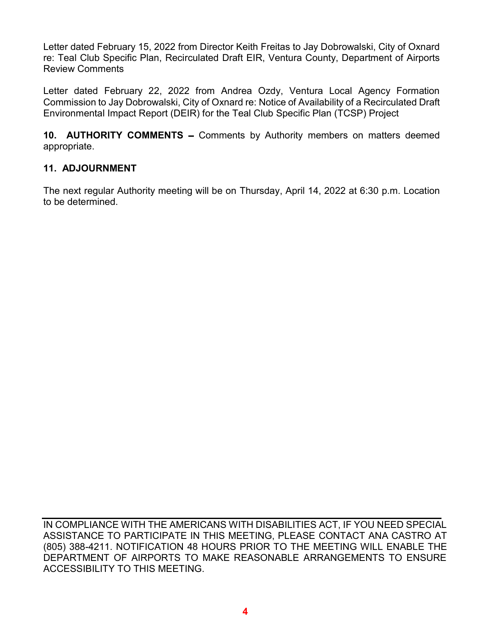Letter dated February 15, 2022 from Director Keith Freitas to Jay Dobrowalski, City of Oxnard re: Teal Club Specific Plan, Recirculated Draft EIR, Ventura County, Department of Airports Review Comments

Letter dated February 22, 2022 from Andrea Ozdy, Ventura Local Agency Formation Commission to Jay Dobrowalski, City of Oxnard re: Notice of Availability of a Recirculated Draft Environmental Impact Report (DEIR) for the Teal Club Specific Plan (TCSP) Project

10. **AUTHORITY COMMENTS** – Comments by Authority members on matters deemed appropriate.

### 11. ADJOURNMENT

The next regular Authority meeting will be on Thursday, April 14, 2022 at 6:30 p.m. Location to be determined.

IN COMPLIANCE WITH THE AMERICANS WITH DISABILITIES ACT, IF YOU NEED SPECIAL ASSISTANCE TO PARTICIPATE IN THIS MEETING, PLEASE CONTACT ANA CASTRO AT (805) 388-4211. NOTIFICATION 48 HOURS PRIOR TO THE MEETING WILL ENABLE THE DEPARTMENT OF AIRPORTS TO MAKE REASONABLE ARRANGEMENTS TO ENSURE ACCESSIBILITY TO THIS MEETING.